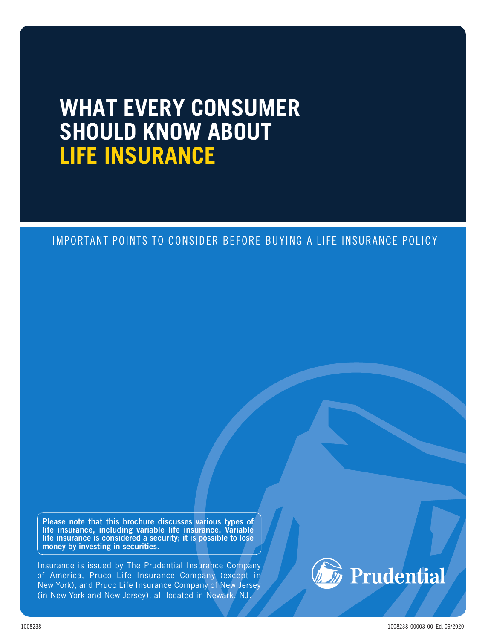# **WHAT EVERY CONSUMER SHOULD KNOW ABOUT LIFE INSURANCE**

# IMPORTANT POINTS TO CONSIDER BEFORE BUYING A LIFE INSURANCE POLICY

Please note that this brochure discusses various types of life insurance, including variable life insurance. Variable life insurance is considered a security; it is possible to lose money by investing in securities.

Insurance is issued by The Prudential Insurance Company of America, Pruco Life Insurance Company (except in New York), and Pruco Life Insurance Company of New Jersey (in New York and New Jersey), all located in Newark, NJ.



1008238 1008238-00003-00 Ed. 09/2020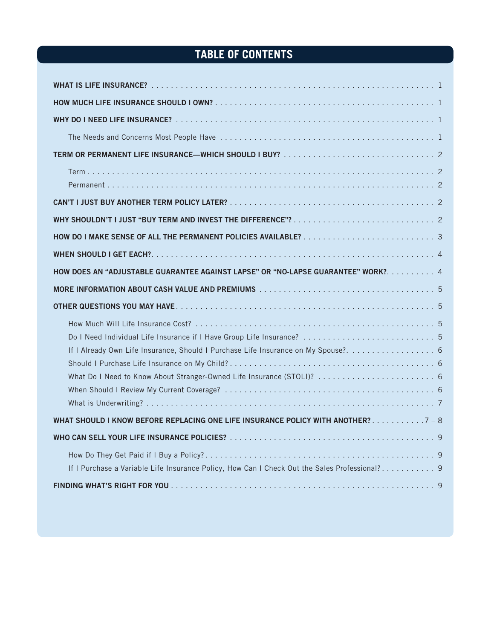# **TABLE OF CONTENTS**

| HOW DOES AN "ADJUSTABLE GUARANTEE AGAINST LAPSE" OR "NO-LAPSE GUARANTEE" WORK? 4                                                                                                                                                       |
|----------------------------------------------------------------------------------------------------------------------------------------------------------------------------------------------------------------------------------------|
|                                                                                                                                                                                                                                        |
|                                                                                                                                                                                                                                        |
| Do I Need Individual Life Insurance if I Have Group Life Insurance?  5<br>If I Already Own Life Insurance, Should I Purchase Life Insurance on My Spouse?. 6<br>What Do I Need to Know About Stranger-Owned Life Insurance (STOLI)?  6 |
| WHAT SHOULD I KNOW BEFORE REPLACING ONE LIFE INSURANCE POLICY WITH ANOTHER? 7 - 8                                                                                                                                                      |
|                                                                                                                                                                                                                                        |
| If I Purchase a Variable Life Insurance Policy, How Can I Check Out the Sales Professional? 9                                                                                                                                          |
|                                                                                                                                                                                                                                        |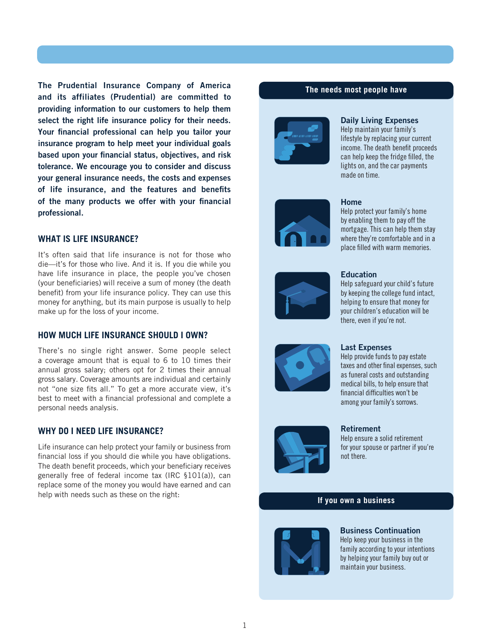The Prudential Insurance Company of America and its affiliates (Prudential) are committed to providing information to our customers to help them select the right life insurance policy for their needs. Your financial professional can help you tailor your insurance program to help meet your individual goals based upon your financial status, objectives, and risk tolerance. We encourage you to consider and discuss your general insurance needs, the costs and expenses of life insurance, and the features and benefits of the many products we offer with your financial professional.

#### <span id="page-2-0"></span>**WHAT IS LIFE INSURANCE?**

It's often said that life insurance is not for those who die—it's for those who live. And it is. If you die while you have life insurance in place, the people you've chosen (your beneficiaries) will receive a sum of money (the death benefit) from your life insurance policy. They can use this money for anything, but its main purpose is usually to help make up for the loss of your income.

#### <span id="page-2-1"></span>**HOW MUCH LIFE INSURANCE SHOULD I OWN?**

There's no single right answer. Some people select a coverage amount that is equal to 6 to 10 times their annual gross salary; others opt for 2 times their annual gross salary. Coverage amounts are individual and certainly not "one size fits all." To get a more accurate view, it's best to meet with a financial professional and complete a personal needs analysis.

# <span id="page-2-2"></span>**WHY DO I NEED LIFE INSURANCE?**

Life insurance can help protect your family or business from financial loss if you should die while you have obligations. The death benefit proceeds, which your beneficiary receives generally free of federal income tax (IRC §101(a)), can replace some of the money you would have earned and can help with needs such as these on the right:

#### **The needs most people have**



#### <span id="page-2-3"></span>Daily Living Expenses

Help maintain your family's lifestyle by replacing your current income. The death benefit proceeds can help keep the fridge filled, the lights on, and the car payments made on time.



#### Home

Help protect your family's home by enabling them to pay off the mortgage. This can help them stay where they're comfortable and in a place filled with warm memories.



#### **Education**

Help safeguard your child's future by keeping the college fund intact, helping to ensure that money for your children's education will be there, even if you're not.

#### Last Expenses

Help provide funds to pay estate taxes and other final expenses, such as funeral costs and outstanding medical bills, to help ensure that financial difficulties won't be among your family's sorrows.



#### Retirement

Help ensure a solid retirement for your spouse or partner if you're not there.

#### **If you own a business**



Business Continuation Help keep your business in the family according to your intentions by helping your family buy out or maintain your business.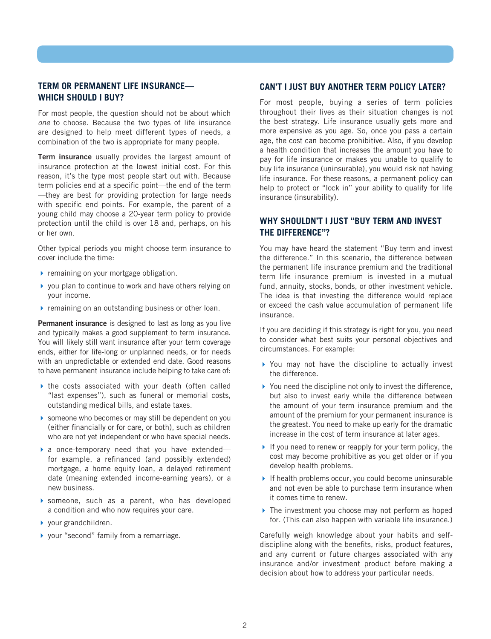# <span id="page-3-0"></span>**TERM OR PERMANENT LIFE INSURANCE— WHICH SHOULD I BUY?**

For most people, the question should not be about which *one* to choose. Because the two types of life insurance are designed to help meet different types of needs, a combination of the two is appropriate for many people.

<span id="page-3-1"></span>Term insurance usually provides the largest amount of insurance protection at the lowest initial cost. For this reason, it's the type most people start out with. Because term policies end at a specific point—the end of the term —they are best for providing protection for large needs with specific end points. For example, the parent of a young child may choose a 20-year term policy to provide protection until the child is over 18 and, perhaps, on his or her own.

Other typical periods you might choose term insurance to cover include the time:

- $\triangleright$  remaining on your mortgage obligation.
- you plan to continue to work and have others relying on your income.
- **F** remaining on an outstanding business or other loan.

<span id="page-3-2"></span>Permanent insurance is designed to last as long as you live and typically makes a good supplement to term insurance. You will likely still want insurance after your term coverage ends, either for life-long or unplanned needs, or for needs with an unpredictable or extended end date. Good reasons to have permanent insurance include helping to take care of:

- $\blacktriangleright$  the costs associated with your death (often called "last expenses"), such as funeral or memorial costs, outstanding medical bills, and estate taxes.
- someone who becomes or may still be dependent on you (either financially or for care, or both), such as children who are not yet independent or who have special needs.
- a once-temporary need that you have extended for example, a refinanced (and possibly extended) mortgage, a home equity loan, a delayed retirement date (meaning extended income-earning years), or a new business.
- someone, such as a parent, who has developed a condition and who now requires your care.
- ▶ your grandchildren.
- ▶ your "second" family from a remarriage.

#### **CAN'T I JUST BUY ANOTHER TERM POLICY LATER?**

For most people, buying a series of term policies throughout their lives as their situation changes is not the best strategy. Life insurance usually gets more and more expensive as you age. So, once you pass a certain age, the cost can become prohibitive. Also, if you develop a health condition that increases the amount you have to pay for life insurance or makes you unable to qualify to buy life insurance (uninsurable), you would risk not having life insurance. For these reasons, a permanent policy can help to protect or "lock in" your ability to qualify for life insurance (insurability).

# **WHY SHOULDN'T I JUST "BUY TERM AND INVEST THE DIFFERENCE"?**

You may have heard the statement "Buy term and invest the difference." In this scenario, the difference between the permanent life insurance premium and the traditional term life insurance premium is invested in a mutual fund, annuity, stocks, bonds, or other investment vehicle. The idea is that investing the difference would replace or exceed the cash value accumulation of permanent life insurance.

If you are deciding if this strategy is right for you, you need to consider what best suits your personal objectives and circumstances. For example:

- ▶ You may not have the discipline to actually invest the difference.
- ▶ You need the discipline not only to invest the difference, but also to invest early while the difference between the amount of your term insurance premium and the amount of the premium for your permanent insurance is the greatest. You need to make up early for the dramatic increase in the cost of term insurance at later ages.
- If you need to renew or reapply for your term policy, the cost may become prohibitive as you get older or if you develop health problems.
- $\blacktriangleright$  If health problems occur, you could become uninsurable and not even be able to purchase term insurance when it comes time to renew.
- ▶ The investment you choose may not perform as hoped for. (This can also happen with variable life insurance.)

Carefully weigh knowledge about your habits and selfdiscipline along with the benefits, risks, product features, and any current or future charges associated with any insurance and/or investment product before making a decision about how to address your particular needs.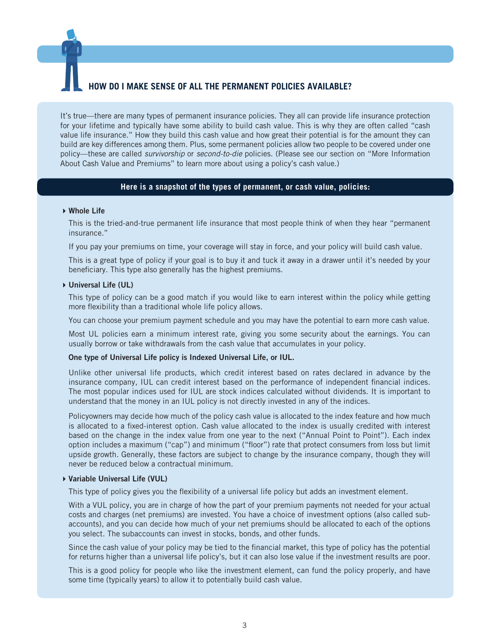# <span id="page-4-0"></span>**OW DO I MAKE SENSE OF ALL THE PERMANENT POLICIES AVAILABLE?**

It's true—there are many types of permanent insurance policies. They all can provide life insurance protection for your lifetime and typically have some ability to build cash value. This is why they are often called "cash value life insurance." How they build this cash value and how great their potential is for the amount they can build are key differences among them. Plus, some permanent policies allow two people to be covered under one policy—these are called *survivorship* or *second-to-die* policies. (Please see our section on "More Information About Cash Value and Premiums" to learn more about using a policy's cash value.)

#### **Here is a snapshot of the types of permanent, or cash value, policies:**

#### ▶ Whole Life

This is the tried-and-true permanent life insurance that most people think of when they hear "permanent insurance."

If you pay your premiums on time, your coverage will stay in force, and your policy will build cash value.

This is a great type of policy if your goal is to buy it and tuck it away in a drawer until it's needed by your beneficiary. This type also generally has the highest premiums.

#### Universal Life (UL)

This type of policy can be a good match if you would like to earn interest within the policy while getting more flexibility than a traditional whole life policy allows.

You can choose your premium payment schedule and you may have the potential to earn more cash value.

Most UL policies earn a minimum interest rate, giving you some security about the earnings. You can usually borrow or take withdrawals from the cash value that accumulates in your policy.

#### One type of Universal Life policy is Indexed Universal Life, or IUL.

Unlike other universal life products, which credit interest based on rates declared in advance by the insurance company, IUL can credit interest based on the performance of independent financial indices. The most popular indices used for IUL are stock indices calculated without dividends. It is important to understand that the money in an IUL policy is not directly invested in any of the indices.

Policyowners may decide how much of the policy cash value is allocated to the index feature and how much is allocated to a fixed-interest option. Cash value allocated to the index is usually credited with interest based on the change in the index value from one year to the next ("Annual Point to Point"). Each index option includes a maximum ("cap") and minimum ("floor") rate that protect consumers from loss but limit upside growth. Generally, these factors are subject to change by the insurance company, though they will never be reduced below a contractual minimum.

#### Variable Universal Life (VUL)

This type of policy gives you the flexibility of a universal life policy but adds an investment element.

With a VUL policy, you are in charge of how the part of your premium payments not needed for your actual costs and charges (net premiums) are invested. You have a choice of investment options (also called subaccounts), and you can decide how much of your net premiums should be allocated to each of the options you select. The subaccounts can invest in stocks, bonds, and other funds.

Since the cash value of your policy may be tied to the financial market, this type of policy has the potential for returns higher than a universal life policy's, but it can also lose value if the investment results are poor.

This is a good policy for people who like the investment element, can fund the policy properly, and have some time (typically years) to allow it to potentially build cash value.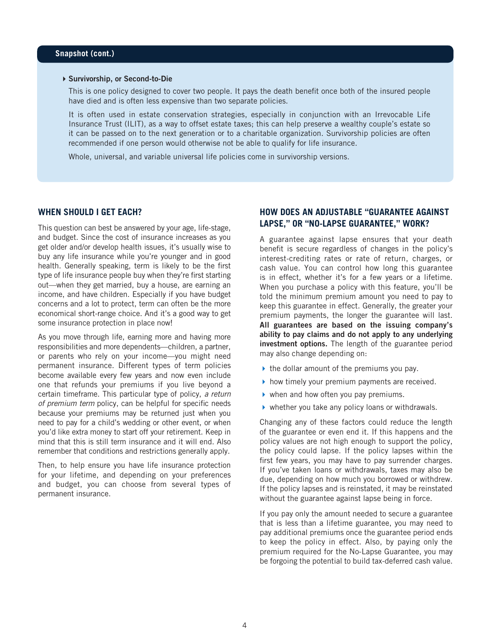#### Survivorship, or Second-to-Die

This is one policy designed to cover two people. It pays the death benefit once both of the insured people have died and is often less expensive than two separate policies.

It is often used in estate conservation strategies, especially in conjunction with an Irrevocable Life Insurance Trust (ILIT), as a way to offset estate taxes; this can help preserve a wealthy couple's estate so it can be passed on to the next generation or to a charitable organization. Survivorship policies are often recommended if one person would otherwise not be able to qualify for life insurance.

Whole, universal, and variable universal life policies come in survivorship versions.

#### <span id="page-5-0"></span>**WHEN SHOULD I GET EACH?**

This question can best be answered by your age, life-stage, and budget. Since the cost of insurance increases as you get older and/or develop health issues, it's usually wise to buy any life insurance while you're younger and in good health. Generally speaking, term is likely to be the first type of life insurance people buy when they're first starting out—when they get married, buy a house, are earning an income, and have children. Especially if you have budget concerns and a lot to protect, term can often be the more economical short-range choice. And it's a good way to get some insurance protection in place now!

As you move through life, earning more and having more responsibilities and more dependents—children, a partner, or parents who rely on your income—you might need permanent insurance. Different types of term policies become available every few years and now even include one that refunds your premiums if you live beyond a certain timeframe. This particular type of policy, *a return of premium term* policy, can be helpful for specific needs because your premiums may be returned just when you need to pay for a child's wedding or other event, or when you'd like extra money to start off your retirement. Keep in mind that this is still term insurance and it will end. Also remember that conditions and restrictions generally apply.

Then, to help ensure you have life insurance protection for your lifetime, and depending on your preferences and budget, you can choose from several types of permanent insurance.

# **HOW DOES AN ADJUSTABLE "GUARANTEE AGAINST LAPSE," OR "NO-LAPSE GUARANTEE," WORK?**

A guarantee against lapse ensures that your death benefit is secure regardless of changes in the policy's interest-crediting rates or rate of return, charges, or cash value. You can control how long this guarantee is in effect, whether it's for a few years or a lifetime. When you purchase a policy with this feature, you'll be told the minimum premium amount you need to pay to keep this guarantee in effect. Generally, the greater your premium payments, the longer the guarantee will last. All guarantees are based on the issuing company's ability to pay claims and do not apply to any underlying investment options. The length of the guarantee period may also change depending on:

- $\blacktriangleright$  the dollar amount of the premiums you pay.
- $\blacktriangleright$  how timely your premium payments are received.
- when and how often you pay premiums.
- $\triangleright$  whether you take any policy loans or withdrawals.

Changing any of these factors could reduce the length of the guarantee or even end it. If this happens and the policy values are not high enough to support the policy, the policy could lapse. If the policy lapses within the first few years, you may have to pay surrender charges. If you've taken loans or withdrawals, taxes may also be due, depending on how much you borrowed or withdrew. If the policy lapses and is reinstated, it may be reinstated without the guarantee against lapse being in force.

If you pay only the amount needed to secure a guarantee that is less than a lifetime guarantee, you may need to pay additional premiums once the guarantee period ends to keep the policy in effect. Also, by paying only the premium required for the No-Lapse Guarantee, you may be forgoing the potential to build tax-deferred cash value.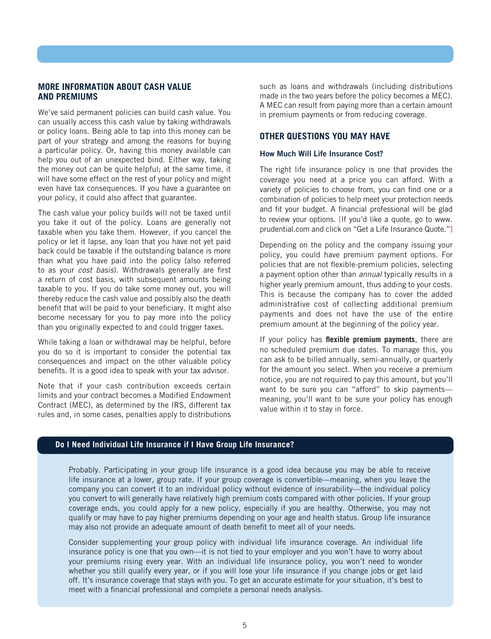#### <span id="page-6-0"></span>**MORE INFORMATION ABOUT CASH VALUE AND PREMIUMS**

We've said permanent policies can build cash value. You can usually access this cash value by taking withdrawals or policy loans. Being able to tap into this money can be part of your strategy and among the reasons for buying a particular policy. Or, having this money available can help you out of an unexpected bind. Either way, taking the money out can be quite helpful; at the same time, it will have some effect on the rest of your policy and might even have tax consequences. If you have a guarantee on your policy, it could also affect that guarantee.

The cash value your policy builds will not be taxed until you take it out of the policy. Loans are generally not taxable when you take them. However, if you cancel the policy or let it lapse, any loan that you have not yet paid back could be taxable if the outstanding balance is more than what you have paid into the policy (also referred to as your *cost basis*). Withdrawals generally are first a return of cost basis, with subsequent amounts being taxable to you. If you do take some money out, you will thereby reduce the cash value and possibly also the death benefit that will be paid to your beneficiary. It might also become necessary for you to pay more into the policy than you originally expected to and could trigger taxes.

While taking a loan or withdrawal may be helpful, before you do so it is important to consider the potential tax consequences and impact on the other valuable policy benefits. It is a good idea to speak with your tax advisor.

Note that if your cash contribution exceeds certain limits and your contract becomes a Modified Endowment Contract (MEC), as determined by the IRS, different tax rules and, in some cases, penalties apply to distributions such as loans and withdrawals (including distributions made in the two years before the policy becomes a MEC). A MEC can result from paying more than a certain amount in premium payments or from reducing coverage.

## <span id="page-6-1"></span>**OTHER QUESTIONS YOU MAY HAVE**

#### <span id="page-6-2"></span>How Much Will Life Insurance Cost?

The right life insurance policy is one that provides the coverage you need at a price you can afford. With a variety of policies to choose from, you can find one or a combination of policies to help meet your protection needs and fit your budget. A financial professional will be glad to review your options. [If you'd like a quote, go to [www.](http://www.prudential.com) [prudential.com](http://www.prudential.com) and click on "Get a Life Insurance Quote."]

Depending on the policy and the company issuing your policy, you could have premium payment options. For policies that are not flexible-premium policies, selecting a payment option other than *annual* typically results in a higher yearly premium amount, thus adding to your costs. This is because the company has to cover the added administrative cost of collecting additional premium payments and does not have the use of the entire premium amount at the beginning of the policy year.

If your policy has **flexible premium payments**, there are no scheduled premium due dates. To manage this, you can ask to be billed annually, semi-annually, or quarterly for the amount you select. When you receive a premium notice, you are not required to pay this amount, but you'll want to be sure you can "afford" to skip payments meaning, you'll want to be sure your policy has enough value within it to stay in force.

#### <span id="page-6-3"></span>**Do I Need Individual Life Insurance if I Have Group Life Insurance?**

Probably. Participating in your group life insurance is a good idea because you may be able to receive life insurance at a lower, group rate. If your group coverage is convertible—meaning, when you leave the company you can convert it to an individual policy without evidence of insurability—the individual policy you convert to will generally have relatively high premium costs compared with other policies. If your group coverage ends, you could apply for a new policy, especially if you are healthy. Otherwise, you may not qualify or may have to pay higher premiums depending on your age and health status. Group life insurance may also not provide an adequate amount of death benefit to meet all of your needs.

Consider supplementing your group policy with individual life insurance coverage. An individual life insurance policy is one that you own—it is not tied to your employer and you won't have to worry about your premiums rising every year. With an individual life insurance policy, you won't need to wonder whether you still qualify every year, or if you will lose your life insurance if you change jobs or get laid off. It's insurance coverage that stays with you. To get an accurate estimate for your situation, it's best to meet with a financial professional and complete a personal needs analysis.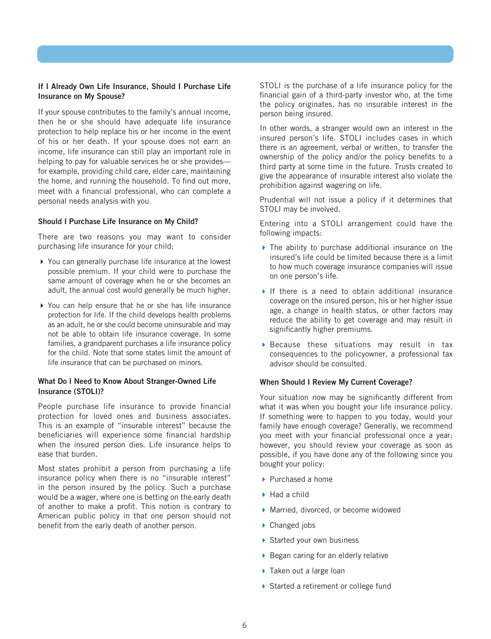#### <span id="page-7-0"></span>If I Already Own Life Insurance, Should I Purchase Life Insurance on My Spouse?

If your spouse contributes to the family's annual income, then he or she should have adequate life insurance protection to help replace his or her income in the event of his or her death. If your spouse does not earn an income, life insurance can still play an important role in helping to pay for valuable services he or she provides for example, providing child care, elder care, maintaining the home, and running the household. To find out more, meet with a financial professional, who can complete a personal needs analysis with you.

#### <span id="page-7-1"></span>Should I Purchase Life Insurance on My Child?

There are two reasons you may want to consider purchasing life insurance for your child:

- ▶ You can generally purchase life insurance at the lowest possible premium. If your child were to purchase the same amount of coverage when he or she becomes an adult, the annual cost would generally be much higher.
- You can help ensure that he or she has life insurance protection for life. If the child develops health problems as an adult, he or she could become uninsurable and may not be able to obtain life insurance coverage. In some families, a grandparent purchases a life insurance policy for the child. Note that some states limit the amount of life insurance that can be purchased on minors.

#### <span id="page-7-2"></span>What Do I Need to Know About Stranger-Owned Life Insurance (STOLI)?

People purchase life insurance to provide financial protection for loved ones and business associates. This is an example of "insurable interest" because the beneficiaries will experience some financial hardship when the insured person dies. Life insurance helps to ease that burden.

Most states prohibit a person from purchasing a life insurance policy when there is no "insurable interest" in the person insured by the policy. Such a purchase would be a wager, where one is betting on the early death of another to make a profit. This notion is contrary to American public policy in that one person should not benefit from the early death of another person.

STOLI is the purchase of a life insurance policy for the financial gain of a third-party investor who, at the time the policy originates, has no insurable interest in the person being insured.

In other words, a stranger would own an interest in the insured person's life. STOLI includes cases in which there is an agreement, verbal or written, to transfer the ownership of the policy and/or the policy benefits to a third party at some time in the future. Trusts created to give the appearance of insurable interest also violate the prohibition against wagering on life.

Prudential will not issue a policy if it determines that STOLI may be involved.

Entering into a STOLI arrangement could have the following impacts:

- The ability to purchase additional insurance on the insured's life could be limited because there is a limit to how much coverage insurance companies will issue on one person's life.
- If there is a need to obtain additional insurance coverage on the insured person, his or her higher issue age, a change in health status, or other factors may reduce the ability to get coverage and may result in significantly higher premiums.
- Because these situations may result in tax consequences to the policyowner, a professional tax advisor should be consulted.

#### <span id="page-7-3"></span>When Should I Review My Current Coverage?

Your situation now may be significantly different from what it was when you bought your life insurance policy. If something were to happen to you today, would your family have enough coverage? Generally, we recommend you meet with your financial professional once a year; however, you should review your coverage as soon as possible, if you have done any of the following since you bought your policy:

- $\blacktriangleright$  Purchased a home
- $\blacktriangleright$  Had a child
- Married, divorced, or become widowed
- ▶ Changed jobs
- Started your own business
- $\triangleright$  Began caring for an elderly relative
- ▶ Taken out a large loan
- Started a retirement or college fund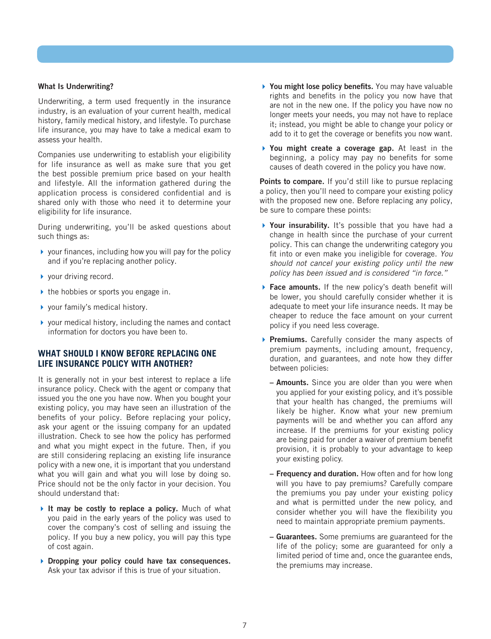#### <span id="page-8-0"></span>What Is Underwriting?

Underwriting, a term used frequently in the insurance industry, is an evaluation of your current health, medical history, family medical history, and lifestyle. To purchase life insurance, you may have to take a medical exam to assess your health.

Companies use underwriting to establish your eligibility for life insurance as well as make sure that you get the best possible premium price based on your health and lifestyle. All the information gathered during the application process is considered confidential and is shared only with those who need it to determine your eligibility for life insurance.

During underwriting, you'll be asked questions about such things as:

- $\triangleright$  your finances, including how you will pay for the policy and if you're replacing another policy.
- ▶ your driving record.
- $\blacktriangleright$  the hobbies or sports you engage in.
- ▶ your family's medical history.
- your medical history, including the names and contact information for doctors you have been to.

# <span id="page-8-1"></span>**WHAT SHOULD I KNOW BEFORE REPLACING ONE LIFE INSURANCE POLICY WITH ANOTHER?**

It is generally not in your best interest to replace a life insurance policy. Check with the agent or company that issued you the one you have now. When you bought your existing policy, you may have seen an illustration of the benefits of your policy. Before replacing your policy, ask your agent or the issuing company for an updated illustration. Check to see how the policy has performed and what you might expect in the future. Then, if you are still considering replacing an existing life insurance policy with a new one, it is important that you understand what you will gain and what you will lose by doing so. Price should not be the only factor in your decision. You should understand that:

- It may be costly to replace a policy. Much of what you paid in the early years of the policy was used to cover the company's cost of selling and issuing the policy. If you buy a new policy, you will pay this type of cost again.
- Dropping your policy could have tax consequences. Ask your tax advisor if this is true of your situation.
- ▶ You might lose policy benefits. You may have valuable rights and benefits in the policy you now have that are not in the new one. If the policy you have now no longer meets your needs, you may not have to replace it; instead, you might be able to change your policy or add to it to get the coverage or benefits you now want.
- ▶ You might create a coverage gap. At least in the beginning, a policy may pay no benefits for some causes of death covered in the policy you have now.

Points to compare. If you'd still like to pursue replacing a policy, then you'll need to compare your existing policy with the proposed new one. Before replacing any policy, be sure to compare these points:

- ▶ Your insurability. It's possible that you have had a change in health since the purchase of your current policy. This can change the underwriting category you fit into or even make you ineligible for coverage. *You should not cancel your existing policy until the new policy has been issued and is considered "in force."*
- ▶ Face amounts. If the new policy's death benefit will be lower, you should carefully consider whether it is adequate to meet your life insurance needs. It may be cheaper to reduce the face amount on your current policy if you need less coverage.
- **Premiums.** Carefully consider the many aspects of premium payments, including amount, frequency, duration, and guarantees, and note how they differ between policies:
	- **Amounts.** Since you are older than you were when you applied for your existing policy, and it's possible that your health has changed, the premiums will likely be higher. Know what your new premium payments will be and whether you can afford any increase. If the premiums for your existing policy are being paid for under a waiver of premium benefit provision, it is probably to your advantage to keep your existing policy.
	- Frequency and duration. How often and for how long will you have to pay premiums? Carefully compare the premiums you pay under your existing policy and what is permitted under the new policy, and consider whether you will have the flexibility you need to maintain appropriate premium payments.
	- **Guarantees.** Some premiums are guaranteed for the life of the policy; some are guaranteed for only a limited period of time and, once the guarantee ends, the premiums may increase.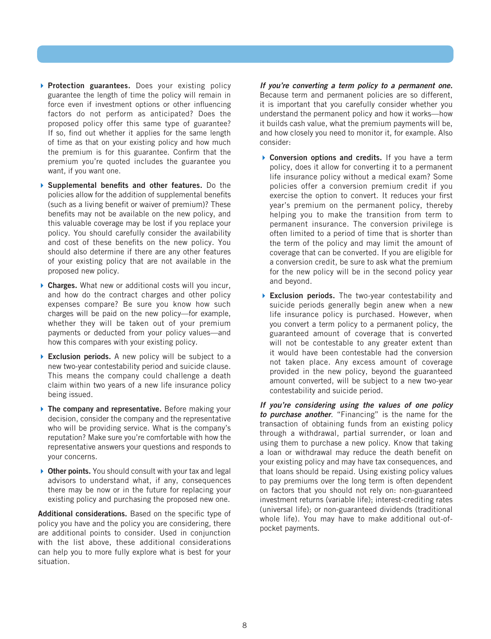- **Protection guarantees.** Does your existing policy guarantee the length of time the policy will remain in force even if investment options or other influencing factors do not perform as anticipated? Does the proposed policy offer this same type of guarantee? If so, find out whether it applies for the same length of time as that on your existing policy and how much the premium is for this guarantee. Confirm that the premium you're quoted includes the guarantee you want, if you want one.
- Supplemental benefits and other features. Do the policies allow for the addition of supplemental benefits (such as a living benefit or waiver of premium)? These benefits may not be available on the new policy, and this valuable coverage may be lost if you replace your policy. You should carefully consider the availability and cost of these benefits on the new policy. You should also determine if there are any other features of your existing policy that are not available in the proposed new policy.
- ▶ Charges. What new or additional costs will you incur, and how do the contract charges and other policy expenses compare? Be sure you know how such charges will be paid on the new policy—for example, whether they will be taken out of your premium payments or deducted from your policy values—and how this compares with your existing policy.
- Exclusion periods. A new policy will be subject to a new two-year contestability period and suicide clause. This means the company could challenge a death claim within two years of a new life insurance policy being issued.
- The company and representative. Before making your decision, consider the company and the representative who will be providing service. What is the company's reputation? Make sure you're comfortable with how the representative answers your questions and responds to your concerns.
- ▶ Other points. You should consult with your tax and legal advisors to understand what, if any, consequences there may be now or in the future for replacing your existing policy and purchasing the proposed new one.

Additional considerations. Based on the specific type of policy you have and the policy you are considering, there are additional points to consider. Used in conjunction with the list above, these additional considerations can help you to more fully explore what is best for your situation.

*If you're converting a term policy to a permanent one.*  Because term and permanent policies are so different, it is important that you carefully consider whether you understand the permanent policy and how it works—how it builds cash value, what the premium payments will be, and how closely you need to monitor it, for example. Also consider:

- ▶ Conversion options and credits. If you have a term policy, does it allow for converting it to a permanent life insurance policy without a medical exam? Some policies offer a conversion premium credit if you exercise the option to convert. It reduces your first year's premium on the permanent policy, thereby helping you to make the transition from term to permanent insurance. The conversion privilege is often limited to a period of time that is shorter than the term of the policy and may limit the amount of coverage that can be converted. If you are eligible for a conversion credit, be sure to ask what the premium for the new policy will be in the second policy year and beyond.
- **Exclusion periods.** The two-year contestability and suicide periods generally begin anew when a new life insurance policy is purchased. However, when you convert a term policy to a permanent policy, the guaranteed amount of coverage that is converted will not be contestable to any greater extent than it would have been contestable had the conversion not taken place. Any excess amount of coverage provided in the new policy, beyond the guaranteed amount converted, will be subject to a new two-year contestability and suicide period.

<span id="page-9-0"></span>*If you're considering using the values of one policy to purchase another*. "Financing" is the name for the transaction of obtaining funds from an existing policy through a withdrawal, partial surrender, or loan and using them to purchase a new policy. Know that taking a loan or withdrawal may reduce the death benefit on your existing policy and may have tax consequences, and that loans should be repaid. Using existing policy values to pay premiums over the long term is often dependent on factors that you should not rely on: non-guaranteed investment returns (variable life); interest-crediting rates (universal life); or non-guaranteed dividends (traditional whole life). You may have to make additional out-ofpocket payments.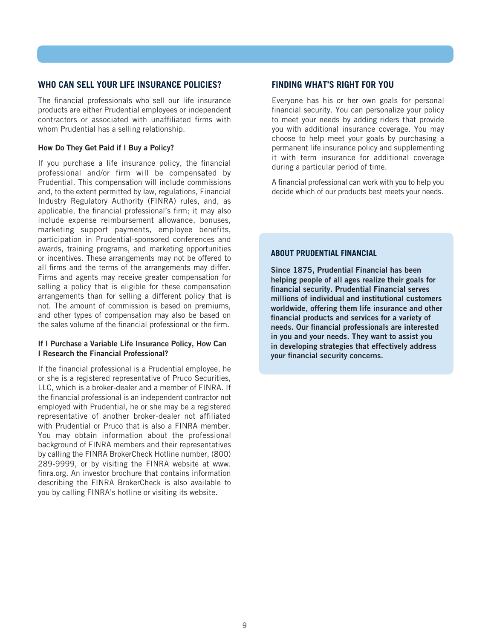### **WHO CAN SELL YOUR LIFE INSURANCE POLICIES?**

The financial professionals who sell our life insurance products are either Prudential employees or independent contractors or associated with unaffiliated firms with whom Prudential has a selling relationship.

#### <span id="page-10-0"></span>How Do They Get Paid if I Buy a Policy?

If you purchase a life insurance policy, the financial professional and/or firm will be compensated by Prudential. This compensation will include commissions and, to the extent permitted by law, regulations, Financial Industry Regulatory Authority (FINRA) rules, and, as applicable, the financial professional's firm; it may also include expense reimbursement allowance, bonuses, marketing support payments, employee benefits, participation in Prudential-sponsored conferences and awards, training programs, and marketing opportunities or incentives. These arrangements may not be offered to all firms and the terms of the arrangements may differ. Firms and agents may receive greater compensation for selling a policy that is eligible for these compensation arrangements than for selling a different policy that is not. The amount of commission is based on premiums, and other types of compensation may also be based on the sales volume of the financial professional or the firm.

#### <span id="page-10-1"></span>If I Purchase a Variable Life Insurance Policy, How Can I Research the Financial Professional?

If the financial professional is a Prudential employee, he or she is a registered representative of Pruco Securities, LLC, which is a broker-dealer and a member of FINRA. If the financial professional is an independent contractor not employed with Prudential, he or she may be a registered representative of another broker-dealer not affiliated with Prudential or Pruco that is also a FINRA member. You may obtain information about the professional background of FINRA members and their representatives by calling the FINRA BrokerCheck Hotline number, (800) 289-9999, or by visiting the FINRA website at www. finra.org. An investor brochure that contains information describing the FINRA BrokerCheck is also available to you by calling FINRA's hotline or visiting its website.

# **FINDING WHAT'S RIGHT FOR YOU**

Everyone has his or her own goals for personal financial security. You can personalize your policy to meet your needs by adding riders that provide you with additional insurance coverage. You may choose to help meet your goals by purchasing a permanent life insurance policy and supplementing it with term insurance for additional coverage during a particular period of time.

A financial professional can work with you to help you decide which of our products best meets your needs.

#### **ABOUT PRUDENTIAL FINANCIAL**

Since 1875, Prudential Financial has been helping people of all ages realize their goals for financial security. Prudential Financial serves millions of individual and institutional customers worldwide, offering them life insurance and other financial products and services for a variety of needs. Our financial professionals are interested in you and your needs. They want to assist you in developing strategies that effectively address your financial security concerns.